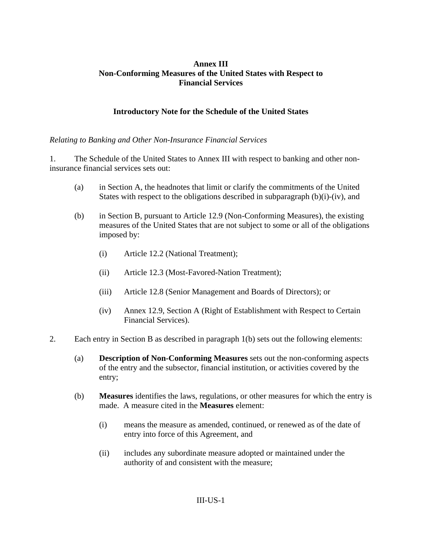# **Annex III Non-Conforming Measures of the United States with Respect to Financial Services**

# **Introductory Note for the Schedule of the United States**

#### *Relating to Banking and Other Non-Insurance Financial Services*

1. The Schedule of the United States to Annex III with respect to banking and other noninsurance financial services sets out:

- (a) in Section A, the headnotes that limit or clarify the commitments of the United States with respect to the obligations described in subparagraph (b)(i)-(iv), and
- (b) in Section B, pursuant to Article 12.9 (Non-Conforming Measures), the existing measures of the United States that are not subject to some or all of the obligations imposed by:
	- (i) Article 12.2 (National Treatment);
	- (ii) Article 12.3 (Most-Favored-Nation Treatment);
	- (iii) Article 12.8 (Senior Management and Boards of Directors); or
	- (iv) Annex 12.9, Section A (Right of Establishment with Respect to Certain Financial Services).
- 2. Each entry in Section B as described in paragraph 1(b) sets out the following elements:
	- (a) **Description of Non-Conforming Measures** sets out the non-conforming aspects of the entry and the subsector, financial institution, or activities covered by the entry;
	- (b) **Measures** identifies the laws, regulations, or other measures for which the entry is made. A measure cited in the **Measures** element:
		- (i) means the measure as amended, continued, or renewed as of the date of entry into force of this Agreement, and
		- (ii) includes any subordinate measure adopted or maintained under the authority of and consistent with the measure;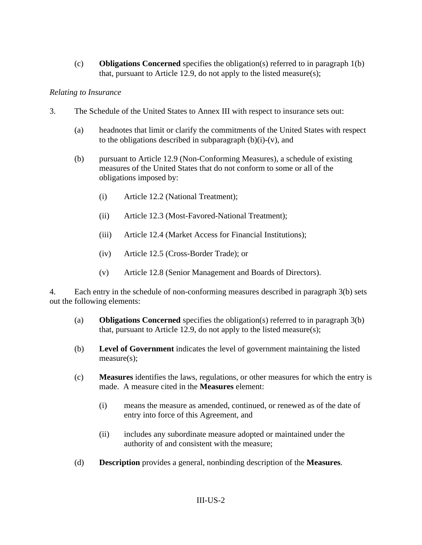(c) **Obligations Concerned** specifies the obligation(s) referred to in paragraph 1(b) that, pursuant to Article 12.9, do not apply to the listed measure(s);

## *Relating to Insurance*

- 3. The Schedule of the United States to Annex III with respect to insurance sets out:
	- (a) headnotes that limit or clarify the commitments of the United States with respect to the obligations described in subparagraph  $(b)(i)-(v)$ , and
	- (b) pursuant to Article 12.9 (Non-Conforming Measures), a schedule of existing measures of the United States that do not conform to some or all of the obligations imposed by:
		- (i) Article 12.2 (National Treatment);
		- (ii) Article 12.3 (Most-Favored-National Treatment);
		- (iii) Article 12.4 (Market Access for Financial Institutions);
		- (iv) Article 12.5 (Cross-Border Trade); or
		- (v) Article 12.8 (Senior Management and Boards of Directors).

4. Each entry in the schedule of non-conforming measures described in paragraph 3(b) sets out the following elements:

- (a) **Obligations Concerned** specifies the obligation(s) referred to in paragraph 3(b) that, pursuant to Article 12.9, do not apply to the listed measure(s);
- (b) **Level of Government** indicates the level of government maintaining the listed measure(s);
- (c) **Measures** identifies the laws, regulations, or other measures for which the entry is made. A measure cited in the **Measures** element:
	- (i) means the measure as amended, continued, or renewed as of the date of entry into force of this Agreement, and
	- (ii) includes any subordinate measure adopted or maintained under the authority of and consistent with the measure;
- (d) **Description** provides a general, nonbinding description of the **Measures**.